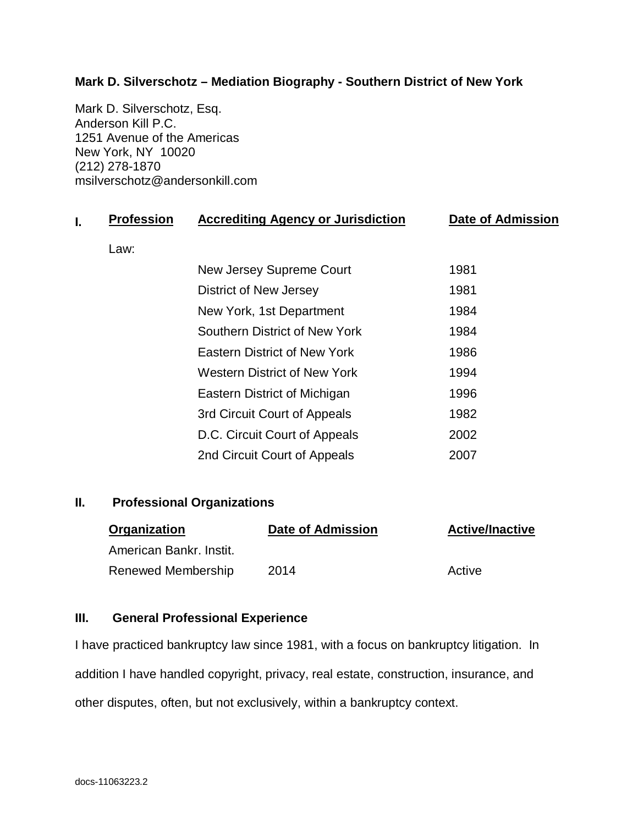# **Mark D. Silverschotz – Mediation Biography - Southern District of New York**

Mark D. Silverschotz, Esq. Anderson Kill P.C. 1251 Avenue of the Americas New York, NY 10020 (212) 278-1870 msilverschotz@andersonkill.com

| <b>Profession</b> | <b>Accrediting Agency or Jurisdiction</b> | <b>Date of Admission</b> |
|-------------------|-------------------------------------------|--------------------------|
| Law:              |                                           |                          |
|                   | New Jersey Supreme Court                  | 1981                     |
|                   | District of New Jersey                    | 1981                     |
|                   | New York, 1st Department                  | 1984                     |
|                   | Southern District of New York             | 1984                     |
|                   | <b>Eastern District of New York</b>       | 1986                     |
|                   | <b>Western District of New York</b>       | 1994                     |
|                   | Eastern District of Michigan              | 1996                     |
|                   | 3rd Circuit Court of Appeals              | 1982                     |
|                   | D.C. Circuit Court of Appeals             | 2002                     |
|                   | 2nd Circuit Court of Appeals              | 2007                     |
|                   |                                           |                          |

### **II. Professional Organizations**

| Organization            | Date of Admission | <b>Active/Inactive</b> |
|-------------------------|-------------------|------------------------|
| American Bankr, Instit. |                   |                        |
| Renewed Membership      | 2014              | Active                 |

### **III. General Professional Experience**

I have practiced bankruptcy law since 1981, with a focus on bankruptcy litigation. In addition I have handled copyright, privacy, real estate, construction, insurance, and other disputes, often, but not exclusively, within a bankruptcy context.